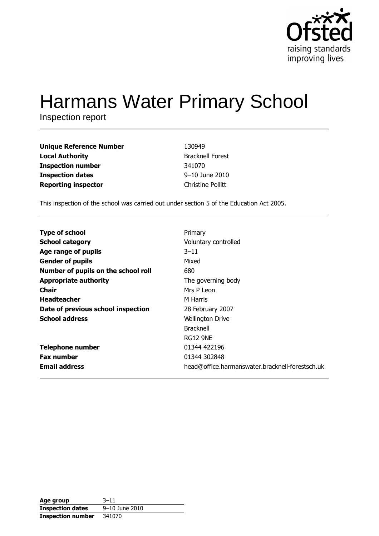

# **Harmans Water Primary School**

Inspection report

| <b>Unique Reference Number</b> | 130949                   |
|--------------------------------|--------------------------|
| <b>Local Authority</b>         | <b>Bracknell Forest</b>  |
| <b>Inspection number</b>       | 341070                   |
| <b>Inspection dates</b>        | 9-10 June 2010           |
| <b>Reporting inspector</b>     | <b>Christine Pollitt</b> |

This inspection of the school was carried out under section 5 of the Education Act 2005.

| <b>Type of school</b>               | Primary                                         |
|-------------------------------------|-------------------------------------------------|
| <b>School category</b>              | Voluntary controlled                            |
| Age range of pupils                 | $3 - 11$                                        |
| <b>Gender of pupils</b>             | Mixed                                           |
| Number of pupils on the school roll | 680                                             |
| <b>Appropriate authority</b>        | The governing body                              |
| <b>Chair</b>                        | Mrs P Leon                                      |
| <b>Headteacher</b>                  | M Harris                                        |
| Date of previous school inspection  | 28 February 2007                                |
| <b>School address</b>               | <b>Wellington Drive</b>                         |
|                                     | <b>Bracknell</b>                                |
|                                     | RG12 9NE                                        |
| <b>Telephone number</b>             | 01344 422196                                    |
| <b>Fax number</b>                   | 01344 302848                                    |
| <b>Email address</b>                | head@office.harmanswater.bracknell-forestsch.uk |

| Age group                | $3 - 11$       |
|--------------------------|----------------|
| <b>Inspection dates</b>  | 9-10 June 2010 |
| <b>Inspection number</b> | 341070         |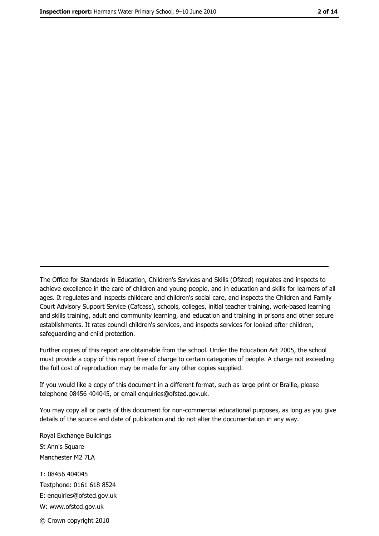The Office for Standards in Education, Children's Services and Skills (Ofsted) regulates and inspects to achieve excellence in the care of children and young people, and in education and skills for learners of all ages. It regulates and inspects childcare and children's social care, and inspects the Children and Family Court Advisory Support Service (Cafcass), schools, colleges, initial teacher training, work-based learning and skills training, adult and community learning, and education and training in prisons and other secure establishments. It rates council children's services, and inspects services for looked after children, safequarding and child protection.

Further copies of this report are obtainable from the school. Under the Education Act 2005, the school must provide a copy of this report free of charge to certain categories of people. A charge not exceeding the full cost of reproduction may be made for any other copies supplied.

If you would like a copy of this document in a different format, such as large print or Braille, please telephone 08456 404045, or email enquiries@ofsted.gov.uk.

You may copy all or parts of this document for non-commercial educational purposes, as long as you give details of the source and date of publication and do not alter the documentation in any way.

Royal Exchange Buildings St Ann's Square Manchester M2 7LA T: 08456 404045 Textphone: 0161 618 8524 E: enquiries@ofsted.gov.uk W: www.ofsted.gov.uk © Crown copyright 2010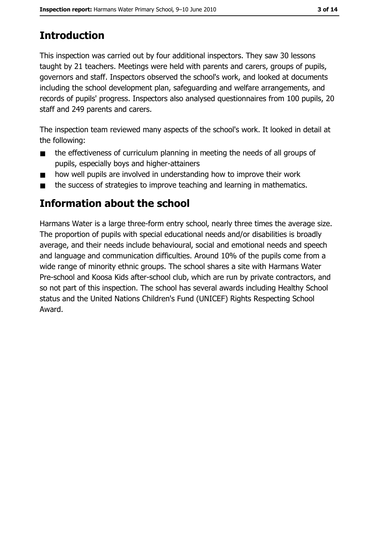# **Introduction**

This inspection was carried out by four additional inspectors. They saw 30 lessons taught by 21 teachers. Meetings were held with parents and carers, groups of pupils, governors and staff. Inspectors observed the school's work, and looked at documents including the school development plan, safeguarding and welfare arrangements, and records of pupils' progress. Inspectors also analysed questionnaires from 100 pupils, 20 staff and 249 parents and carers.

The inspection team reviewed many aspects of the school's work. It looked in detail at the following:

- the effectiveness of curriculum planning in meeting the needs of all groups of  $\blacksquare$ pupils, especially boys and higher-attainers
- how well pupils are involved in understanding how to improve their work  $\blacksquare$
- the success of strategies to improve teaching and learning in mathematics.  $\blacksquare$

# Information about the school

Harmans Water is a large three-form entry school, nearly three times the average size. The proportion of pupils with special educational needs and/or disabilities is broadly average, and their needs include behavioural, social and emotional needs and speech and language and communication difficulties. Around 10% of the pupils come from a wide range of minority ethnic groups. The school shares a site with Harmans Water Pre-school and Koosa Kids after-school club, which are run by private contractors, and so not part of this inspection. The school has several awards including Healthy School status and the United Nations Children's Fund (UNICEF) Rights Respecting School Award.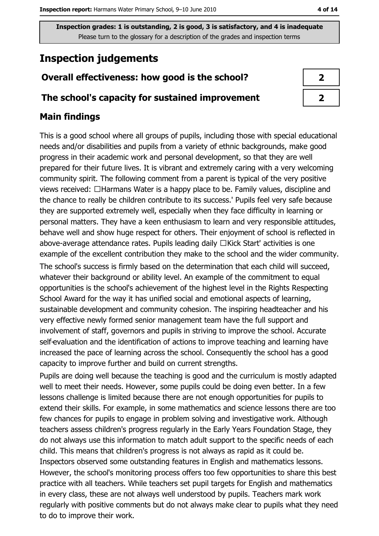# **Inspection judgements**

## Overall effectiveness: how good is the school?

#### The school's capacity for sustained improvement

## **Main findings**

This is a good school where all groups of pupils, including those with special educational needs and/or disabilities and pupils from a variety of ethnic backgrounds, make good progress in their academic work and personal development, so that they are well prepared for their future lives. It is vibrant and extremely caring with a very welcoming community spirit. The following comment from a parent is typical of the very positive views received: □Harmans Water is a happy place to be. Family values, discipline and the chance to really be children contribute to its success.' Pupils feel very safe because they are supported extremely well, especially when they face difficulty in learning or personal matters. They have a keen enthusiasm to learn and very responsible attitudes, behave well and show huge respect for others. Their enjoyment of school is reflected in above-average attendance rates. Pupils leading daily □Kick Start' activities is one example of the excellent contribution they make to the school and the wider community. The school's success is firmly based on the determination that each child will succeed, whatever their background or ability level. An example of the commitment to equal opportunities is the school's achievement of the highest level in the Rights Respecting School Award for the way it has unified social and emotional aspects of learning, sustainable development and community cohesion. The inspiring headteacher and his very effective newly formed senior management team have the full support and involvement of staff, governors and pupils in striving to improve the school. Accurate self-evaluation and the identification of actions to improve teaching and learning have increased the pace of learning across the school. Consequently the school has a good capacity to improve further and build on current strengths.

Pupils are doing well because the teaching is good and the curriculum is mostly adapted well to meet their needs. However, some pupils could be doing even better. In a few lessons challenge is limited because there are not enough opportunities for pupils to extend their skills. For example, in some mathematics and science lessons there are too few chances for pupils to engage in problem solving and investigative work. Although teachers assess children's progress regularly in the Early Years Foundation Stage, they do not always use this information to match adult support to the specific needs of each child. This means that children's progress is not always as rapid as it could be. Inspectors observed some outstanding features in English and mathematics lessons. However, the school's monitoring process offers too few opportunities to share this best practice with all teachers. While teachers set pupil targets for English and mathematics in every class, these are not always well understood by pupils. Teachers mark work regularly with positive comments but do not always make clear to pupils what they need to do to improve their work.

| 2 |  |
|---|--|
| 7 |  |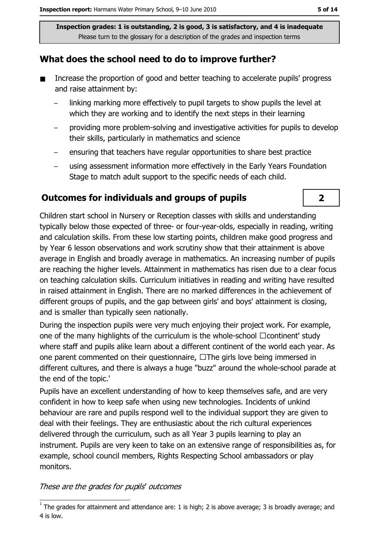## What does the school need to do to improve further?

- $\blacksquare$ Increase the proportion of good and better teaching to accelerate pupils' progress and raise attainment by:
	- linking marking more effectively to pupil targets to show pupils the level at which they are working and to identify the next steps in their learning
	- providing more problem-solving and investigative activities for pupils to develop their skills, particularly in mathematics and science
	- ensuring that teachers have regular opportunities to share best practice
	- using assessment information more effectively in the Early Years Foundation Stage to match adult support to the specific needs of each child.

## **Outcomes for individuals and groups of pupils**

Children start school in Nursery or Reception classes with skills and understanding typically below those expected of three- or four-year-olds, especially in reading, writing and calculation skills. From these low starting points, children make good progress and by Year 6 lesson observations and work scrutiny show that their attainment is above average in English and broadly average in mathematics. An increasing number of pupils are reaching the higher levels. Attainment in mathematics has risen due to a clear focus on teaching calculation skills. Curriculum initiatives in reading and writing have resulted in raised attainment in English. There are no marked differences in the achievement of different groups of pupils, and the gap between girls' and boys' attainment is closing, and is smaller than typically seen nationally.

During the inspection pupils were very much enjoying their project work. For example, one of the many highlights of the curriculum is the whole-school □ continent' study where staff and pupils alike learn about a different continent of the world each year. As one parent commented on their questionnaire,  $\Box$  The girls love being immersed in different cultures, and there is always a huge "buzz" around the whole-school parade at the end of the topic.'

Pupils have an excellent understanding of how to keep themselves safe, and are very confident in how to keep safe when using new technologies. Incidents of unkind behaviour are rare and pupils respond well to the individual support they are given to deal with their feelings. They are enthusiastic about the rich cultural experiences delivered through the curriculum, such as all Year 3 pupils learning to play an instrument. Pupils are very keen to take on an extensive range of responsibilities as, for example, school council members, Rights Respecting School ambassadors or play monitors.

#### These are the grades for pupils' outcomes

 $\overline{2}$ 

 $\frac{1}{1}$  The grades for attainment and attendance are: 1 is high; 2 is above average; 3 is broadly average; and 4 is low.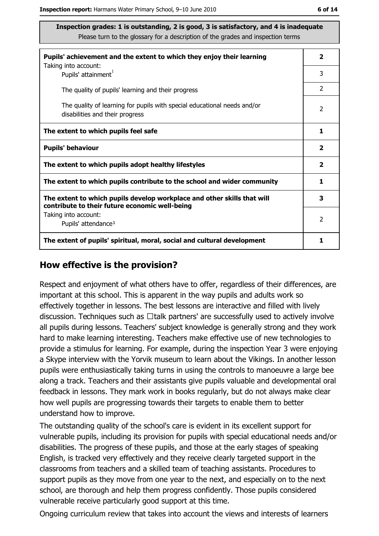| Pupils' achievement and the extent to which they enjoy their learning                                                     | $\overline{\mathbf{2}}$ |
|---------------------------------------------------------------------------------------------------------------------------|-------------------------|
| Taking into account:<br>Pupils' attainment <sup>1</sup>                                                                   | 3                       |
| The quality of pupils' learning and their progress                                                                        | $\overline{2}$          |
| The quality of learning for pupils with special educational needs and/or<br>disabilities and their progress               | $\overline{2}$          |
| The extent to which pupils feel safe                                                                                      | 1                       |
| <b>Pupils' behaviour</b>                                                                                                  | $\overline{\mathbf{2}}$ |
| The extent to which pupils adopt healthy lifestyles                                                                       | $\overline{\mathbf{2}}$ |
| The extent to which pupils contribute to the school and wider community                                                   | 1                       |
| The extent to which pupils develop workplace and other skills that will<br>contribute to their future economic well-being | 3                       |
| Taking into account:<br>Pupils' attendance <sup>1</sup>                                                                   | 2                       |
| The extent of pupils' spiritual, moral, social and cultural development                                                   | 1                       |

#### How effective is the provision?

Respect and enjoyment of what others have to offer, regardless of their differences, are important at this school. This is apparent in the way pupils and adults work so effectively together in lessons. The best lessons are interactive and filled with lively discussion. Techniques such as  $\Box$ talk partners' are successfully used to actively involve all pupils during lessons. Teachers' subject knowledge is generally strong and they work hard to make learning interesting. Teachers make effective use of new technologies to provide a stimulus for learning. For example, during the inspection Year 3 were enjoying a Skype interview with the Yorvik museum to learn about the Vikings. In another lesson pupils were enthusiastically taking turns in using the controls to manoeuvre a large bee along a track. Teachers and their assistants give pupils valuable and developmental oral feedback in lessons. They mark work in books regularly, but do not always make clear how well pupils are progressing towards their targets to enable them to better understand how to improve.

The outstanding quality of the school's care is evident in its excellent support for vulnerable pupils, including its provision for pupils with special educational needs and/or disabilities. The progress of these pupils, and those at the early stages of speaking English, is tracked very effectively and they receive clearly targeted support in the classrooms from teachers and a skilled team of teaching assistants. Procedures to support pupils as they move from one year to the next, and especially on to the next school, are thorough and help them progress confidently. Those pupils considered vulnerable receive particularly good support at this time.

Ongoing curriculum review that takes into account the views and interests of learners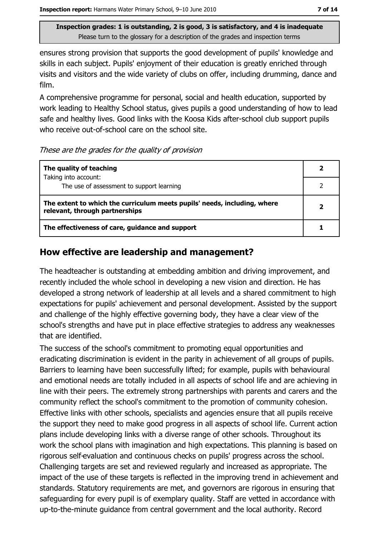ensures strong provision that supports the good development of pupils' knowledge and skills in each subject. Pupils' enjoyment of their education is greatly enriched through visits and visitors and the wide variety of clubs on offer, including drumming, dance and film.

A comprehensive programme for personal, social and health education, supported by work leading to Healthy School status, gives pupils a good understanding of how to lead safe and healthy lives. Good links with the Koosa Kids after-school club support pupils who receive out-of-school care on the school site.

#### These are the grades for the quality of provision

| The quality of teaching                                                                                    |                         |
|------------------------------------------------------------------------------------------------------------|-------------------------|
| Taking into account:<br>The use of assessment to support learning                                          |                         |
| The extent to which the curriculum meets pupils' needs, including, where<br>relevant, through partnerships | $\overline{\mathbf{2}}$ |
| The effectiveness of care, guidance and support                                                            |                         |

## How effective are leadership and management?

The headteacher is outstanding at embedding ambition and driving improvement, and recently included the whole school in developing a new vision and direction. He has developed a strong network of leadership at all levels and a shared commitment to high expectations for pupils' achievement and personal development. Assisted by the support and challenge of the highly effective governing body, they have a clear view of the school's strengths and have put in place effective strategies to address any weaknesses that are identified.

The success of the school's commitment to promoting equal opportunities and eradicating discrimination is evident in the parity in achievement of all groups of pupils. Barriers to learning have been successfully lifted; for example, pupils with behavioural and emotional needs are totally included in all aspects of school life and are achieving in line with their peers. The extremely strong partnerships with parents and carers and the community reflect the school's commitment to the promotion of community cohesion. Effective links with other schools, specialists and agencies ensure that all pupils receive the support they need to make good progress in all aspects of school life. Current action plans include developing links with a diverse range of other schools. Throughout its work the school plans with imagination and high expectations. This planning is based on rigorous self-evaluation and continuous checks on pupils' progress across the school. Challenging targets are set and reviewed regularly and increased as appropriate. The impact of the use of these targets is reflected in the improving trend in achievement and standards. Statutory requirements are met, and governors are rigorous in ensuring that safeguarding for every pupil is of exemplary quality. Staff are vetted in accordance with up-to-the-minute quidance from central government and the local authority. Record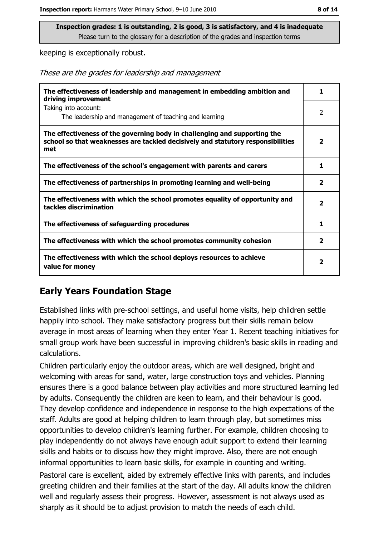keeping is exceptionally robust.

These are the grades for leadership and management

| The effectiveness of leadership and management in embedding ambition and<br>driving improvement                                                                     | 1                       |
|---------------------------------------------------------------------------------------------------------------------------------------------------------------------|-------------------------|
| Taking into account:<br>The leadership and management of teaching and learning                                                                                      | 2                       |
| The effectiveness of the governing body in challenging and supporting the<br>school so that weaknesses are tackled decisively and statutory responsibilities<br>met | $\overline{\mathbf{2}}$ |
| The effectiveness of the school's engagement with parents and carers                                                                                                | 1                       |
| The effectiveness of partnerships in promoting learning and well-being                                                                                              | $\overline{2}$          |
| The effectiveness with which the school promotes equality of opportunity and<br>tackles discrimination                                                              | $\mathbf{z}$            |
| The effectiveness of safeguarding procedures                                                                                                                        |                         |
| The effectiveness with which the school promotes community cohesion                                                                                                 | $\mathbf{2}$            |
| The effectiveness with which the school deploys resources to achieve<br>value for money                                                                             | 2                       |

## **Early Years Foundation Stage**

Established links with pre-school settings, and useful home visits, help children settle happily into school. They make satisfactory progress but their skills remain below average in most areas of learning when they enter Year 1. Recent teaching initiatives for small group work have been successful in improving children's basic skills in reading and calculations.

Children particularly enjoy the outdoor areas, which are well designed, bright and welcoming with areas for sand, water, large construction toys and vehicles. Planning ensures there is a good balance between play activities and more structured learning led by adults. Consequently the children are keen to learn, and their behaviour is good. They develop confidence and independence in response to the high expectations of the staff. Adults are good at helping children to learn through play, but sometimes miss opportunities to develop children's learning further. For example, children choosing to play independently do not always have enough adult support to extend their learning skills and habits or to discuss how they might improve. Also, there are not enough informal opportunities to learn basic skills, for example in counting and writing.

Pastoral care is excellent, aided by extremely effective links with parents, and includes greeting children and their families at the start of the day. All adults know the children well and regularly assess their progress. However, assessment is not always used as sharply as it should be to adjust provision to match the needs of each child.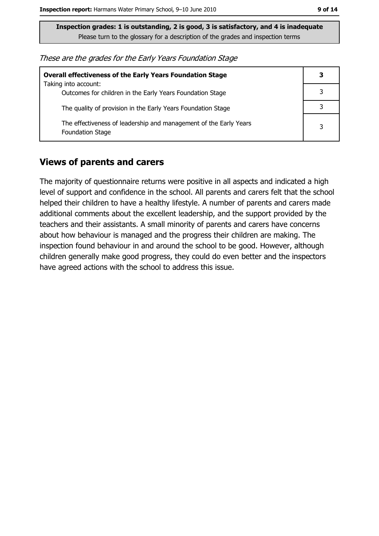These are the grades for the Early Years Foundation Stage

| <b>Overall effectiveness of the Early Years Foundation Stage</b><br>Taking into account:     | 3 |
|----------------------------------------------------------------------------------------------|---|
| Outcomes for children in the Early Years Foundation Stage                                    |   |
| The quality of provision in the Early Years Foundation Stage                                 |   |
| The effectiveness of leadership and management of the Early Years<br><b>Foundation Stage</b> | 3 |

#### **Views of parents and carers**

The majority of questionnaire returns were positive in all aspects and indicated a high level of support and confidence in the school. All parents and carers felt that the school helped their children to have a healthy lifestyle. A number of parents and carers made additional comments about the excellent leadership, and the support provided by the teachers and their assistants. A small minority of parents and carers have concerns about how behaviour is managed and the progress their children are making. The inspection found behaviour in and around the school to be good. However, although children generally make good progress, they could do even better and the inspectors have agreed actions with the school to address this issue.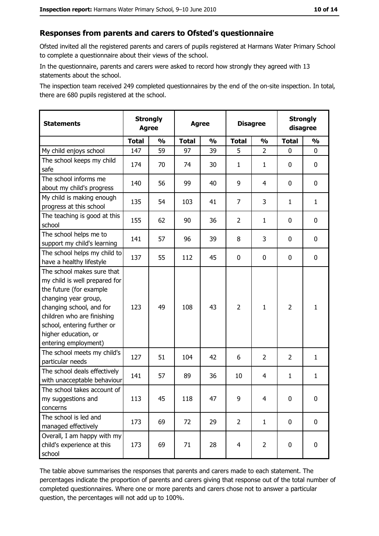#### Responses from parents and carers to Ofsted's questionnaire

Ofsted invited all the registered parents and carers of pupils registered at Harmans Water Primary School to complete a questionnaire about their views of the school.

In the questionnaire, parents and carers were asked to record how strongly they agreed with 13 statements about the school.

The inspection team received 249 completed questionnaires by the end of the on-site inspection. In total, there are 680 pupils registered at the school.

| <b>Statements</b>                                                                                                                                                                                                                                       | <b>Strongly</b><br><b>Agree</b> |               | <b>Agree</b> |               |                | <b>Disagree</b> |                | <b>Strongly</b><br>disagree |  |
|---------------------------------------------------------------------------------------------------------------------------------------------------------------------------------------------------------------------------------------------------------|---------------------------------|---------------|--------------|---------------|----------------|-----------------|----------------|-----------------------------|--|
|                                                                                                                                                                                                                                                         | <b>Total</b>                    | $\frac{0}{0}$ | <b>Total</b> | $\frac{0}{0}$ | <b>Total</b>   | $\frac{1}{2}$   | <b>Total</b>   | $\frac{0}{0}$               |  |
| My child enjoys school                                                                                                                                                                                                                                  | 147                             | 59            | 97           | 39            | 5              | $\overline{2}$  | $\mathbf{0}$   | 0                           |  |
| The school keeps my child<br>safe                                                                                                                                                                                                                       | 174                             | 70            | 74           | 30            | $\mathbf{1}$   | 1               | 0              | $\mathbf 0$                 |  |
| The school informs me<br>about my child's progress                                                                                                                                                                                                      | 140                             | 56            | 99           | 40            | 9              | 4               | 0              | 0                           |  |
| My child is making enough<br>progress at this school                                                                                                                                                                                                    | 135                             | 54            | 103          | 41            | $\overline{7}$ | 3               | 1              | $\mathbf{1}$                |  |
| The teaching is good at this<br>school                                                                                                                                                                                                                  | 155                             | 62            | 90           | 36            | $\overline{2}$ | $\mathbf{1}$    | 0              | 0                           |  |
| The school helps me to<br>support my child's learning                                                                                                                                                                                                   | 141                             | 57            | 96           | 39            | 8              | 3               | 0              | $\mathbf 0$                 |  |
| The school helps my child to<br>have a healthy lifestyle                                                                                                                                                                                                | 137                             | 55            | 112          | 45            | $\mathbf 0$    | 0               | 0              | $\mathbf 0$                 |  |
| The school makes sure that<br>my child is well prepared for<br>the future (for example<br>changing year group,<br>changing school, and for<br>children who are finishing<br>school, entering further or<br>higher education, or<br>entering employment) | 123                             | 49            | 108          | 43            | $\overline{2}$ | $\mathbf{1}$    | $\overline{2}$ | $\mathbf{1}$                |  |
| The school meets my child's<br>particular needs                                                                                                                                                                                                         | 127                             | 51            | 104          | 42            | 6              | 2               | $\overline{2}$ | $\mathbf{1}$                |  |
| The school deals effectively<br>with unacceptable behaviour                                                                                                                                                                                             | 141                             | 57            | 89           | 36            | 10             | 4               | $\mathbf{1}$   | $\mathbf{1}$                |  |
| The school takes account of<br>my suggestions and<br>concerns                                                                                                                                                                                           | 113                             | 45            | 118          | 47            | 9              | 4               | 0              | $\bf{0}$                    |  |
| The school is led and<br>managed effectively                                                                                                                                                                                                            | 173                             | 69            | 72           | 29            | $\overline{2}$ | $\mathbf{1}$    | $\mathbf 0$    | 0                           |  |
| Overall, I am happy with my<br>child's experience at this<br>school                                                                                                                                                                                     | 173                             | 69            | 71           | 28            | $\overline{4}$ | $\overline{2}$  | 0              | 0                           |  |

The table above summarises the responses that parents and carers made to each statement. The percentages indicate the proportion of parents and carers giving that response out of the total number of completed questionnaires. Where one or more parents and carers chose not to answer a particular question, the percentages will not add up to 100%.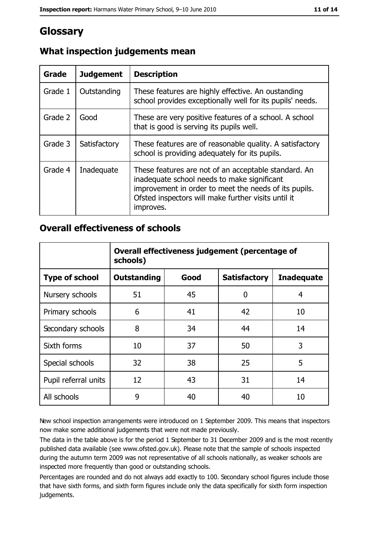# **Glossary**

| Grade   | <b>Judgement</b> | <b>Description</b>                                                                                                                                                                                                               |
|---------|------------------|----------------------------------------------------------------------------------------------------------------------------------------------------------------------------------------------------------------------------------|
| Grade 1 | Outstanding      | These features are highly effective. An oustanding<br>school provides exceptionally well for its pupils' needs.                                                                                                                  |
| Grade 2 | Good             | These are very positive features of a school. A school<br>that is good is serving its pupils well.                                                                                                                               |
| Grade 3 | Satisfactory     | These features are of reasonable quality. A satisfactory<br>school is providing adequately for its pupils.                                                                                                                       |
| Grade 4 | Inadequate       | These features are not of an acceptable standard. An<br>inadequate school needs to make significant<br>improvement in order to meet the needs of its pupils.<br>Ofsted inspectors will make further visits until it<br>improves. |

# What inspection judgements mean

## **Overall effectiveness of schools**

|                       | Overall effectiveness judgement (percentage of<br>schools) |      |                     |                   |
|-----------------------|------------------------------------------------------------|------|---------------------|-------------------|
| <b>Type of school</b> | <b>Outstanding</b>                                         | Good | <b>Satisfactory</b> | <b>Inadequate</b> |
| Nursery schools       | 51                                                         | 45   | 0                   | 4                 |
| Primary schools       | 6                                                          | 41   | 42                  | 10                |
| Secondary schools     | 8                                                          | 34   | 44                  | 14                |
| Sixth forms           | 10                                                         | 37   | 50                  | 3                 |
| Special schools       | 32                                                         | 38   | 25                  | 5                 |
| Pupil referral units  | 12                                                         | 43   | 31                  | 14                |
| All schools           | 9                                                          | 40   | 40                  | 10                |

New school inspection arrangements were introduced on 1 September 2009. This means that inspectors now make some additional judgements that were not made previously.

The data in the table above is for the period 1 September to 31 December 2009 and is the most recently published data available (see www.ofsted.gov.uk). Please note that the sample of schools inspected during the autumn term 2009 was not representative of all schools nationally, as weaker schools are inspected more frequently than good or outstanding schools.

Percentages are rounded and do not always add exactly to 100. Secondary school figures include those that have sixth forms, and sixth form figures include only the data specifically for sixth form inspection judgements.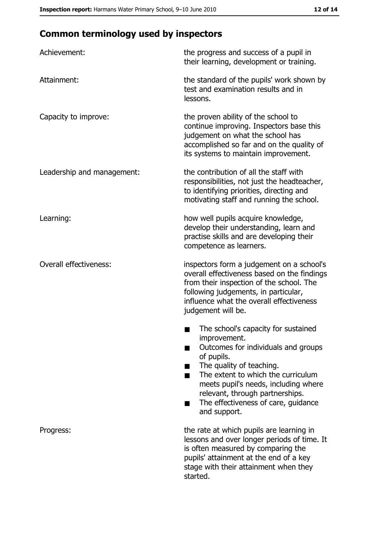# **Common terminology used by inspectors**

| Achievement:                  | the progress and success of a pupil in<br>their learning, development or training.                                                                                                                                                                                                                           |
|-------------------------------|--------------------------------------------------------------------------------------------------------------------------------------------------------------------------------------------------------------------------------------------------------------------------------------------------------------|
| Attainment:                   | the standard of the pupils' work shown by<br>test and examination results and in<br>lessons.                                                                                                                                                                                                                 |
| Capacity to improve:          | the proven ability of the school to<br>continue improving. Inspectors base this<br>judgement on what the school has<br>accomplished so far and on the quality of<br>its systems to maintain improvement.                                                                                                     |
| Leadership and management:    | the contribution of all the staff with<br>responsibilities, not just the headteacher,<br>to identifying priorities, directing and<br>motivating staff and running the school.                                                                                                                                |
| Learning:                     | how well pupils acquire knowledge,<br>develop their understanding, learn and<br>practise skills and are developing their<br>competence as learners.                                                                                                                                                          |
| <b>Overall effectiveness:</b> | inspectors form a judgement on a school's<br>overall effectiveness based on the findings<br>from their inspection of the school. The<br>following judgements, in particular,<br>influence what the overall effectiveness<br>judgement will be.                                                               |
|                               | The school's capacity for sustained<br>improvement.<br>Outcomes for individuals and groups<br>of pupils.<br>The quality of teaching.<br>The extent to which the curriculum<br>meets pupil's needs, including where<br>relevant, through partnerships.<br>The effectiveness of care, guidance<br>and support. |
| Progress:                     | the rate at which pupils are learning in<br>lessons and over longer periods of time. It<br>is often measured by comparing the<br>pupils' attainment at the end of a key<br>stage with their attainment when they<br>started.                                                                                 |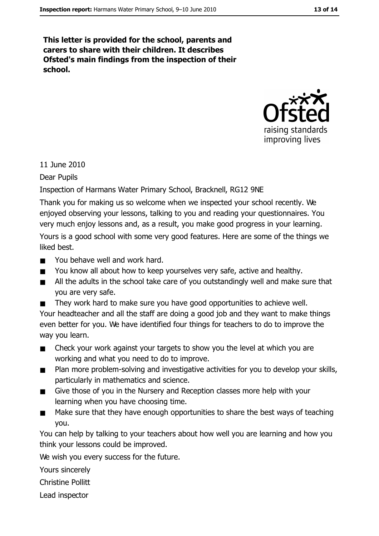This letter is provided for the school, parents and carers to share with their children. It describes Ofsted's main findings from the inspection of their school.



11 June 2010

Dear Pupils

Inspection of Harmans Water Primary School, Bracknell, RG12 9NE

Thank you for making us so welcome when we inspected your school recently. We enjoyed observing your lessons, talking to you and reading your questionnaires. You very much enjoy lessons and, as a result, you make good progress in your learning. Yours is a good school with some very good features. Here are some of the things we liked best.

- You behave well and work hard.  $\blacksquare$
- You know all about how to keep yourselves very safe, active and healthy.  $\blacksquare$
- $\blacksquare$ All the adults in the school take care of you outstandingly well and make sure that you are very safe.
- They work hard to make sure you have good opportunities to achieve well.  $\blacksquare$ Your headteacher and all the staff are doing a good job and they want to make things even better for you. We have identified four things for teachers to do to improve the way you learn.
- Check your work against your targets to show you the level at which you are  $\mathbf{r}$ working and what you need to do to improve.
- Plan more problem-solving and investigative activities for you to develop your skills,  $\blacksquare$ particularly in mathematics and science.
- Give those of you in the Nursery and Reception classes more help with your  $\blacksquare$ learning when you have choosing time.
- Make sure that they have enough opportunities to share the best ways of teaching  $\blacksquare$ vou.

You can help by talking to your teachers about how well you are learning and how you think your lessons could be improved.

We wish you every success for the future.

Yours sincerely

**Christine Pollitt** 

Lead inspector